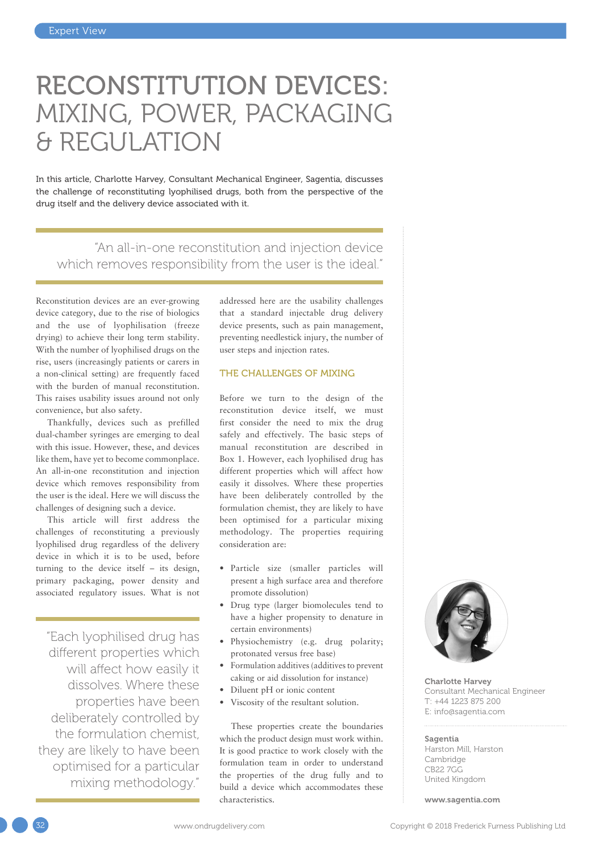# RECONSTITUTION DEVICES: MIXING, POWER, PACKAGING & REGULATION

In this article, Charlotte Harvey, Consultant Mechanical Engineer, Sagentia, discusses the challenge of reconstituting lyophilised drugs, both from the perspective of the drug itself and the delivery device associated with it.

"An all-in-one reconstitution and injection device which removes responsibility from the user is the ideal."

Reconstitution devices are an ever-growing device category, due to the rise of biologics and the use of lyophilisation (freeze drying) to achieve their long term stability. With the number of lyophilised drugs on the rise, users (increasingly patients or carers in a non-clinical setting) are frequently faced with the burden of manual reconstitution. This raises usability issues around not only convenience, but also safety.

Thankfully, devices such as prefilled dual-chamber syringes are emerging to deal with this issue. However, these, and devices like them, have yet to become commonplace. An all-in-one reconstitution and injection device which removes responsibility from the user is the ideal. Here we will discuss the challenges of designing such a device.

This article will first address the challenges of reconstituting a previously lyophilised drug regardless of the delivery device in which it is to be used, before turning to the device itself – its design, primary packaging, power density and associated regulatory issues. What is not

"Each lyophilised drug has different properties which will affect how easily it dissolves. Where these properties have been deliberately controlled by the formulation chemist, they are likely to have been optimised for a particular mixing methodology."

addressed here are the usability challenges that a standard injectable drug delivery device presents, such as pain management, preventing needlestick injury, the number of user steps and injection rates.

# THE CHALLENGES OF MIXING

Before we turn to the design of the reconstitution device itself, we must first consider the need to mix the drug safely and effectively. The basic steps of manual reconstitution are described in Box 1. However, each lyophilised drug has different properties which will affect how easily it dissolves. Where these properties have been deliberately controlled by the formulation chemist, they are likely to have been optimised for a particular mixing methodology. The properties requiring consideration are:

- Particle size (smaller particles will present a high surface area and therefore promote dissolution)
- Drug type (larger biomolecules tend to have a higher propensity to denature in certain environments)
- Physiochemistry (e.g. drug polarity; protonated versus free base)
- Formulation additives (additives to prevent caking or aid dissolution for instance)
- Diluent pH or ionic content
- Viscosity of the resultant solution.

These properties create the boundaries which the product design must work within. It is good practice to work closely with the formulation team in order to understand the properties of the drug fully and to build a device which accommodates these characteristics.



Charlotte Harvey Consultant Mechanical Engineer T: +44 1223 875 200 E: [info@sagentia.com](mailto:info@sagentia.com)

#### Sagentia

Harston Mill, Harston Cambridge CB22 7GG United Kingdom

[www.sagentia.com](http://www.sagentia.com)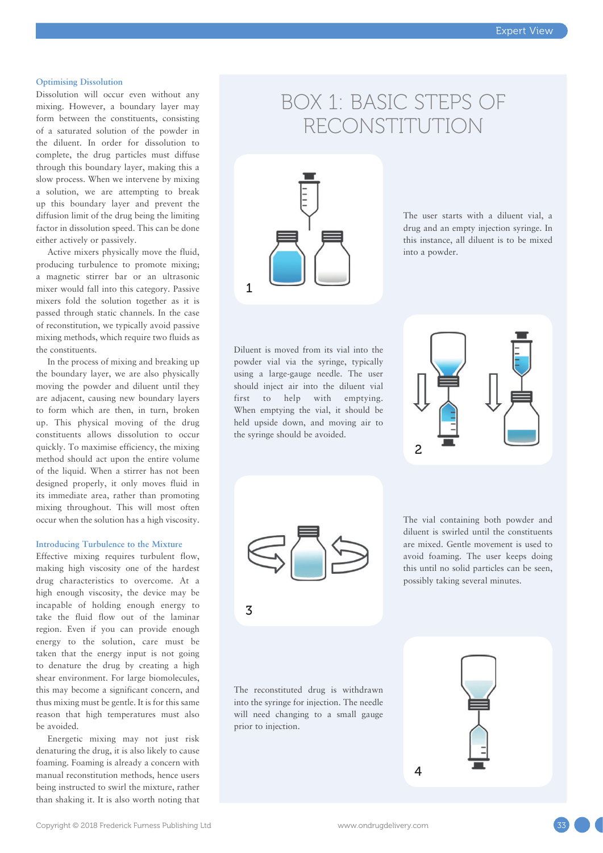## **Optimising Dissolution**

Dissolution will occur even without any mixing. However, a boundary layer may form between the constituents, consisting of a saturated solution of the powder in the diluent. In order for dissolution to complete, the drug particles must diffuse through this boundary layer, making this a slow process. When we intervene by mixing a solution, we are attempting to break up this boundary layer and prevent the diffusion limit of the drug being the limiting factor in dissolution speed. This can be done either actively or passively.

Active mixers physically move the fluid, producing turbulence to promote mixing; a magnetic stirrer bar or an ultrasonic mixer would fall into this category. Passive mixers fold the solution together as it is passed through static channels. In the case of reconstitution, we typically avoid passive mixing methods, which require two fluids as the constituents.

In the process of mixing and breaking up the boundary layer, we are also physically moving the powder and diluent until they are adjacent, causing new boundary layers to form which are then, in turn, broken up. This physical moving of the drug constituents allows dissolution to occur quickly. To maximise efficiency, the mixing method should act upon the entire volume of the liquid. When a stirrer has not been designed properly, it only moves fluid in its immediate area, rather than promoting mixing throughout. This will most often occur when the solution has a high viscosity.

#### **Introducing Turbulence to the Mixture**

Effective mixing requires turbulent flow, making high viscosity one of the hardest drug characteristics to overcome. At a high enough viscosity, the device may be incapable of holding enough energy to take the fluid flow out of the laminar region. Even if you can provide enough energy to the solution, care must be taken that the energy input is not going to denature the drug by creating a high shear environment. For large biomolecules, this may become a significant concern, and thus mixing must be gentle. It is for this same reason that high temperatures must also be avoided.

Energetic mixing may not just risk denaturing the drug, it is also likely to cause foaming. Foaming is already a concern with manual reconstitution methods, hence users being instructed to swirl the mixture, rather than shaking it. It is also worth noting that

# BOX 1: BASIC STEPS OF RECONSTITUTION



The user starts with a diluent vial, a drug and an empty injection syringe. In this instance, all diluent is to be mixed into a powder.

Diluent is moved from its vial into the powder vial via the syringe, typically using a large-gauge needle. The user should inject air into the diluent vial first to help with emptying. When emptying the vial, it should be held upside down, and moving air to the syringe should be avoided.



The vial containing both powder and diluent is swirled until the constituents are mixed. Gentle movement is used to avoid foaming. The user keeps doing this until no solid particles can be seen, possibly taking several minutes.

The reconstituted drug is withdrawn into the syringe for injection. The needle will need changing to a small gauge prior to injection.

3



4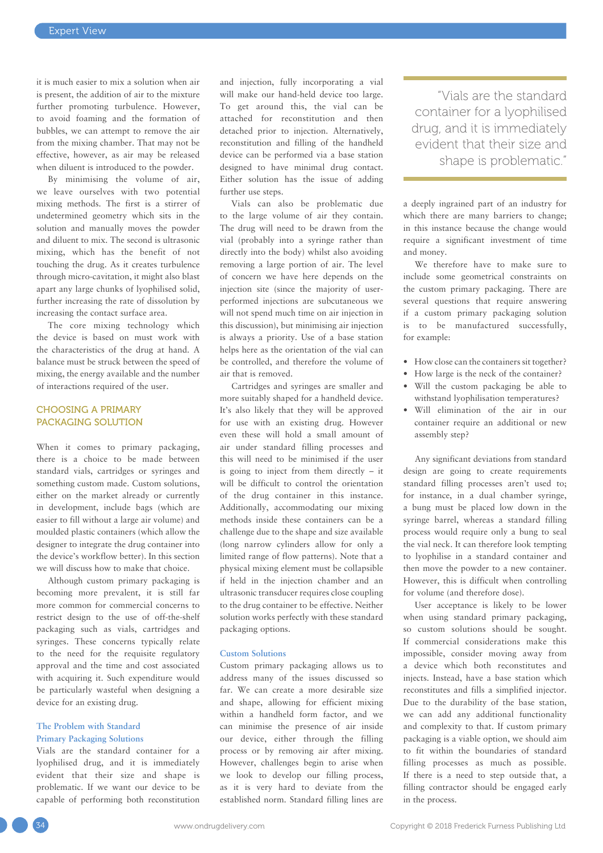it is much easier to mix a solution when air is present, the addition of air to the mixture further promoting turbulence. However, to avoid foaming and the formation of bubbles, we can attempt to remove the air from the mixing chamber. That may not be effective, however, as air may be released when diluent is introduced to the powder.

By minimising the volume of air, we leave ourselves with two potential mixing methods. The first is a stirrer of undetermined geometry which sits in the solution and manually moves the powder and diluent to mix. The second is ultrasonic mixing, which has the benefit of not touching the drug. As it creates turbulence through micro-cavitation, it might also blast apart any large chunks of lyophilised solid, further increasing the rate of dissolution by increasing the contact surface area.

The core mixing technology which the device is based on must work with the characteristics of the drug at hand. A balance must be struck between the speed of mixing, the energy available and the number of interactions required of the user.

# CHOOSING A PRIMARY PACKAGING SOLUTION

When it comes to primary packaging, there is a choice to be made between standard vials, cartridges or syringes and something custom made. Custom solutions, either on the market already or currently in development, include bags (which are easier to fill without a large air volume) and moulded plastic containers (which allow the designer to integrate the drug container into the device's workflow better). In this section we will discuss how to make that choice.

Although custom primary packaging is becoming more prevalent, it is still far more common for commercial concerns to restrict design to the use of off-the-shelf packaging such as vials, cartridges and syringes. These concerns typically relate to the need for the requisite regulatory approval and the time and cost associated with acquiring it. Such expenditure would be particularly wasteful when designing a device for an existing drug.

# **The Problem with Standard Primary Packaging Solutions**

Vials are the standard container for a lyophilised drug, and it is immediately evident that their size and shape is problematic. If we want our device to be capable of performing both reconstitution and injection, fully incorporating a vial will make our hand-held device too large. To get around this, the vial can be attached for reconstitution and then detached prior to injection. Alternatively, reconstitution and filling of the handheld device can be performed via a base station designed to have minimal drug contact. Either solution has the issue of adding further use steps.

Vials can also be problematic due to the large volume of air they contain. The drug will need to be drawn from the vial (probably into a syringe rather than directly into the body) whilst also avoiding removing a large portion of air. The level of concern we have here depends on the injection site (since the majority of userperformed injections are subcutaneous we will not spend much time on air injection in this discussion), but minimising air injection is always a priority. Use of a base station helps here as the orientation of the vial can be controlled, and therefore the volume of air that is removed.

Cartridges and syringes are smaller and more suitably shaped for a handheld device. It's also likely that they will be approved for use with an existing drug. However even these will hold a small amount of air under standard filling processes and this will need to be minimised if the user is going to inject from them directly – it will be difficult to control the orientation of the drug container in this instance. Additionally, accommodating our mixing methods inside these containers can be a challenge due to the shape and size available (long narrow cylinders allow for only a limited range of flow patterns). Note that a physical mixing element must be collapsible if held in the injection chamber and an ultrasonic transducer requires close coupling to the drug container to be effective. Neither solution works perfectly with these standard packaging options.

#### **Custom Solutions**

Custom primary packaging allows us to address many of the issues discussed so far. We can create a more desirable size and shape, allowing for efficient mixing within a handheld form factor, and we can minimise the presence of air inside our device, either through the filling process or by removing air after mixing. However, challenges begin to arise when we look to develop our filling process, as it is very hard to deviate from the established norm. Standard filling lines are

"Vials are the standard container for a lyophilised drug, and it is immediately evident that their size and shape is problematic."

a deeply ingrained part of an industry for which there are many barriers to change; in this instance because the change would require a significant investment of time and money.

We therefore have to make sure to include some geometrical constraints on the custom primary packaging. There are several questions that require answering if a custom primary packaging solution is to be manufactured successfully, for example:

- How close can the containers sit together?
- How large is the neck of the container?
- Will the custom packaging be able to withstand lyophilisation temperatures?
- Will elimination of the air in our container require an additional or new assembly step?

Any significant deviations from standard design are going to create requirements standard filling processes aren't used to; for instance, in a dual chamber syringe, a bung must be placed low down in the syringe barrel, whereas a standard filling process would require only a bung to seal the vial neck. It can therefore look tempting to lyophilise in a standard container and then move the powder to a new container. However, this is difficult when controlling for volume (and therefore dose).

User acceptance is likely to be lower when using standard primary packaging, so custom solutions should be sought. If commercial considerations make this impossible, consider moving away from a device which both reconstitutes and injects. Instead, have a base station which reconstitutes and fills a simplified injector. Due to the durability of the base station, we can add any additional functionality and complexity to that. If custom primary packaging is a viable option, we should aim to fit within the boundaries of standard filling processes as much as possible. If there is a need to step outside that, a filling contractor should be engaged early in the process.